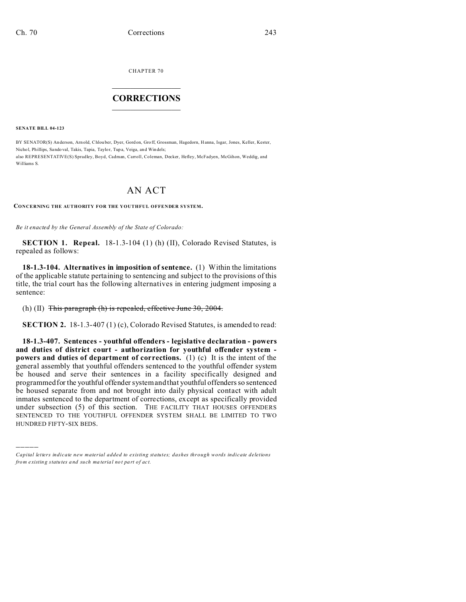CHAPTER 70  $\overline{\phantom{a}}$  , where  $\overline{\phantom{a}}$ 

## **CORRECTIONS**  $\frac{1}{2}$  ,  $\frac{1}{2}$  ,  $\frac{1}{2}$  ,  $\frac{1}{2}$  ,  $\frac{1}{2}$  ,  $\frac{1}{2}$

**SENATE BILL 04-123**

)))))

BY SENATOR(S) Anderson, Arn old, Chlou ber, Dyer, Gord on, Gro ff, Grossman, Hagedorn, Hanna, Isgar, Jones, Keller, Kester, Nichol, Phillips, Sando val, Takis, Tapia, Taylor, Tup a, Veiga, and Windels; also REPRESENTATIVE(S) Spradley, Boyd, Cadman, Carroll, Coleman, Decker, Hefley, McFadyen, McGihon, Weddig, and Williams S.

## AN ACT

**CONCERNING THE AUTHORITY FOR THE YOUTHFUL OFFENDER SYSTEM.**

*Be it enacted by the General Assembly of the State of Colorado:*

**SECTION 1. Repeal.** 18-1.3-104 (1) (h) (II), Colorado Revised Statutes, is repealed as follows:

**18-1.3-104. Alternatives in imposition of sentence.** (1) Within the limitations of the applicable statute pertaining to sentencing and subject to the provisions of this title, the trial court has the following alternatives in entering judgment imposing a sentence:

(h) (II) This paragraph (h) is repealed, effective June 30, 2004.

**SECTION 2.** 18-1.3-407 (1) (c), Colorado Revised Statutes, is amended to read:

**18-1.3-407. Sentences - youthful offenders - legislative declaration - powers and duties of district court - authorization for youthful offender system powers and duties of department of corrections.** (1) (c) It is the intent of the general assembly that youthful offenders sentenced to the youthful offender system be housed and serve their sentences in a facility specifically designed and programmed for the youthful offender system and that youthful offenders so sentenced be housed separate from and not brought into daily physical contact with adult inmates sentenced to the department of corrections, except as specifically provided under subsection (5) of this section. THE FACILITY THAT HOUSES OFFENDERS SENTENCED TO THE YOUTHFUL OFFENDER SYSTEM SHALL BE LIMITED TO TWO HUNDRED FIFTY-SIX BEDS.

*Capital letters indicate new material added to existing statutes; dashes through words indicate deletions from e xistin g statu tes a nd such ma teria l no t pa rt of ac t.*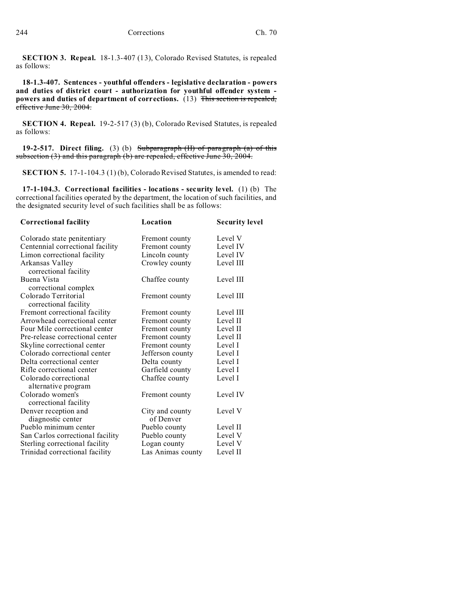**SECTION 3. Repeal.** 18-1.3-407 (13), Colorado Revised Statutes, is repealed as follows:

**18-1.3-407. Sentences - youthful offenders - legislative declaration - powers and duties of district court - authorization for youthful offender system powers and duties of department of corrections.** (13) This section is repealed, effective June 30, 2004.

**SECTION 4. Repeal.** 19-2-517 (3) (b), Colorado Revised Statutes, is repealed as follows:

**19-2-517. Direct filing.** (3) (b) Subparagraph (II) of paragraph (a) of this subsection (3) and this paragraph (b) are repealed, effective June 30, 2004.

**SECTION 5.** 17-1-104.3 (1) (b), Colorado Revised Statutes, is amended to read:

**17-1-104.3. Correctional facilities - locations - security level.** (1) (b) The correctional facilities operated by the department, the location of such facilities, and the designated security level of such facilities shall be as follows:

| <b>Correctional facility</b>                  | Location                     | <b>Security level</b> |
|-----------------------------------------------|------------------------------|-----------------------|
| Colorado state penitentiary                   | Fremont county               | Level V               |
| Centennial correctional facility              | Fremont county               | Level IV              |
| Limon correctional facility                   | Lincoln county               | Level IV              |
| Arkansas Valley<br>correctional facility      | Crowley county               | Level III             |
| Buena Vista                                   | Chaffee county               | Level III             |
| correctional complex                          |                              |                       |
| Colorado Territorial<br>correctional facility | Fremont county               | Level III             |
| Fremont correctional facility                 | Fremont county               | Level III             |
| Arrowhead correctional center                 | Fremont county               | Level II              |
| Four Mile correctional center                 | Fremont county               | Level II              |
| Pre-release correctional center               | Fremont county               | Level II              |
| Skyline correctional center                   | Fremont county               | Level I               |
| Colorado correctional center                  | Jefferson county             | Level I               |
| Delta correctional center                     | Delta county                 | Level I               |
| Rifle correctional center                     | Garfield county              | Level I               |
| Colorado correctional<br>alternative program  | Chaffee county               | Level I               |
| Colorado women's<br>correctional facility     | Fremont county               | Level IV              |
| Denver reception and<br>diagnostic center     | City and county<br>of Denver | Level V               |
| Pueblo minimum center                         | Pueblo county                | Level II              |
| San Carlos correctional facility              | Pueblo county                | Level V               |
| Sterling correctional facility                | Logan county                 | Level V               |
| Trinidad correctional facility                |                              | Level II              |
|                                               | Las Animas county            |                       |